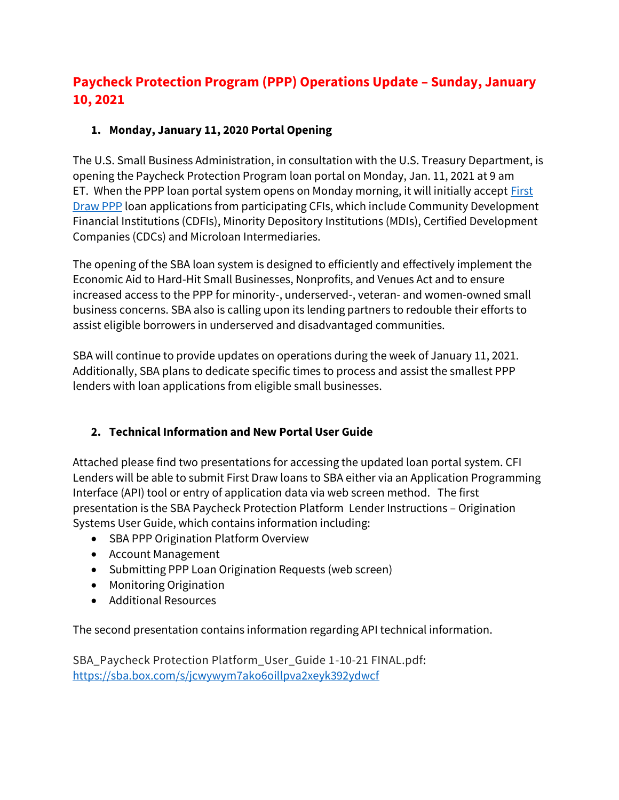## **Paycheck Protection Program (PPP) Operations Update – Sunday, January 10, 2021**

## **1. Monday, January 11, 2020 Portal Opening**

The U.S. Small Business Administration, in consultation with the U.S. Treasury Department, is opening the Paycheck Protection Program loan portal on Monday, Jan. 11, 2021 at 9 am ET. When the PPP loan portal system opens on Monday morning, it will initially accept First [Draw PPP](https://nam04.safelinks.protection.outlook.com/?url=https%3A%2F%2Furldefense.proofpoint.com%2Fv2%2Furl%3Fu%3Dhttps-3A__www.sba.gov_document_support-2Dtop-2Dline-2Doverview-2Dfirst-2Ddraw-2Dppp%26d%3DDwMF-g%26c%3DeuGZstcaTDllvimEN8b7jXrwqOf-v5A_CdpgnVfiiMM%26r%3DkRO8kkKB8aQBwW16hrbg2vNdi8UmfhtxqA6ZRSazWa4%26m%3DQYVdq39Y9nl8w4nsmhCHB0ndwulXGn1WVs7NXCq4M6I%26s%3DRF2qkRIO-9EtmqWlJgAjg9rO17OyDbJFQIAdRiBh1ko%26e%3D&data=04%7C01%7CThomas.Warren%40icba.org%7Ce08e819143d94822b3b808d8b5d0c516%7C3747d660735d42638188bb679df6d3c0%7C0%7C0%7C637459255572083081%7CUnknown%7CTWFpbGZsb3d8eyJWIjoiMC4wLjAwMDAiLCJQIjoiV2luMzIiLCJBTiI6Ik1haWwiLCJXVCI6Mn0%3D%7C0&sdata=ZalyhF7H4MspolaXqTsMwa3xtSC%2F7hCObPGUNo2v8K4%3D&reserved=0) loan applications from participating CFIs, which include Community Development Financial Institutions (CDFIs), Minority Depository Institutions (MDIs), Certified Development Companies (CDCs) and Microloan Intermediaries.

The opening of the SBA loan system is designed to efficiently and effectively implement the Economic Aid to Hard-Hit Small Businesses, Nonprofits, and Venues Act and to ensure increased access to the PPP for minority-, underserved-, veteran- and women-owned small business concerns. SBA also is calling upon its lending partners to redouble their efforts to assist eligible borrowers in underserved and disadvantaged communities.

SBA will continue to provide updates on operations during the week of January 11, 2021. Additionally, SBA plans to dedicate specific times to process and assist the smallest PPP lenders with loan applications from eligible small businesses.

## **2. Technical Information and New Portal User Guide**

Attached please find two presentations for accessing the updated loan portal system. CFI Lenders will be able to submit First Draw loans to SBA either via an Application Programming Interface (API) tool or entry of application data via web screen method. The first presentation is the SBA Paycheck Protection Platform Lender Instructions – Origination Systems User Guide, which contains information including:

- SBA PPP Origination Platform Overview
- Account Management
- Submitting PPP Loan Origination Requests (web screen)
- Monitoring Origination
- Additional Resources

The second presentation contains information regarding API technical information.

SBA\_Paycheck Protection Platform\_User\_Guide 1-10-21 FINAL.pdf: [https://sba.box.com/s/jcwywym7ako6oillpva2xeyk392ydwcf](https://nam04.safelinks.protection.outlook.com/?url=https%3A%2F%2Furldefense.proofpoint.com%2Fv2%2Furl%3Fu%3Dhttps-3A__sba.box.com_s_jcwywym7ako6oillpva2xeyk392ydwcf%26d%3DDwQF-g%26c%3DeuGZstcaTDllvimEN8b7jXrwqOf-v5A_CdpgnVfiiMM%26r%3DkRO8kkKB8aQBwW16hrbg2vNdi8UmfhtxqA6ZRSazWa4%26m%3DQYVdq39Y9nl8w4nsmhCHB0ndwulXGn1WVs7NXCq4M6I%26s%3DV2ip47jtQhOJgDXKhPOtuewDxo_v21VvivaxxYsMIKs%26e%3D&data=04%7C01%7CThomas.Warren%40icba.org%7Ce08e819143d94822b3b808d8b5d0c516%7C3747d660735d42638188bb679df6d3c0%7C0%7C0%7C637459255572093041%7CUnknown%7CTWFpbGZsb3d8eyJWIjoiMC4wLjAwMDAiLCJQIjoiV2luMzIiLCJBTiI6Ik1haWwiLCJXVCI6Mn0%3D%7C0&sdata=IJ88iVT5Zd8wjv4x5dJw1z7OMYMIB4muQv49HOH1vsA%3D&reserved=0)